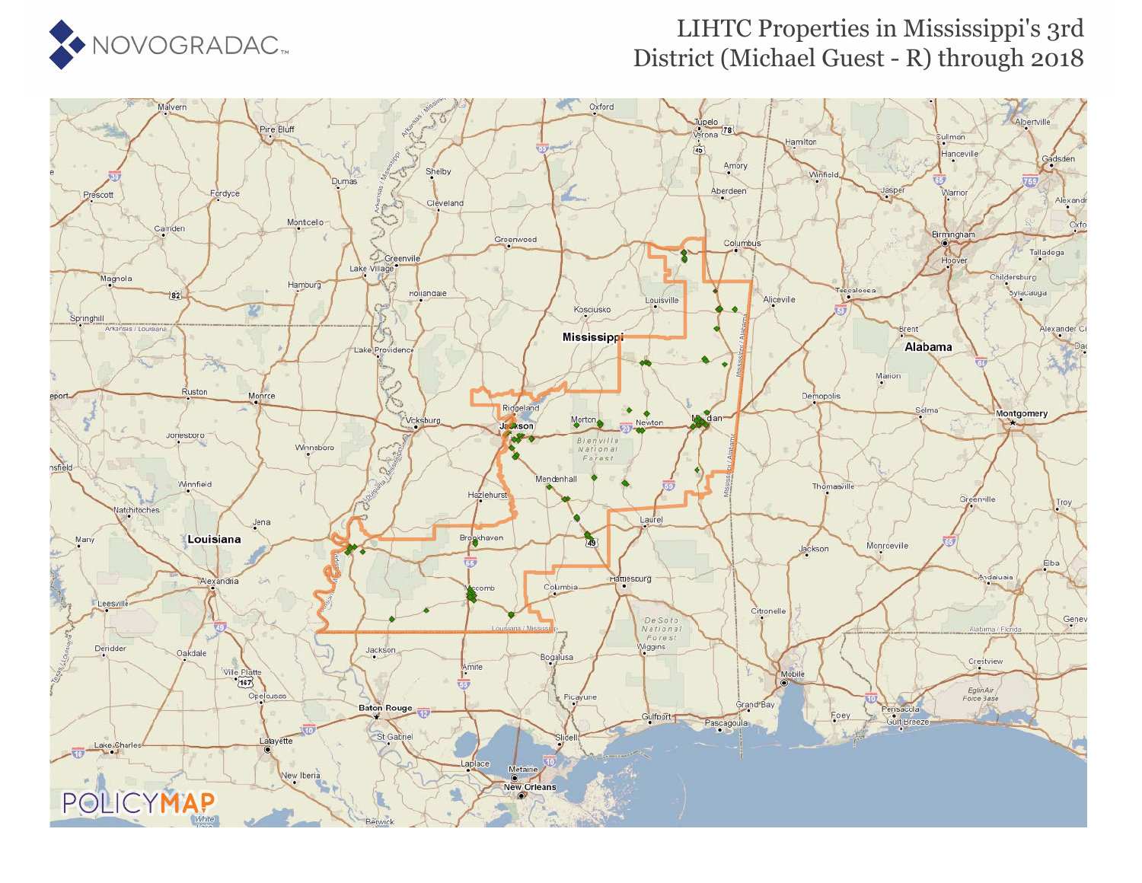

## LIHTC Properties in Mississippi's 3rd District (Michael Guest - R) through 2018

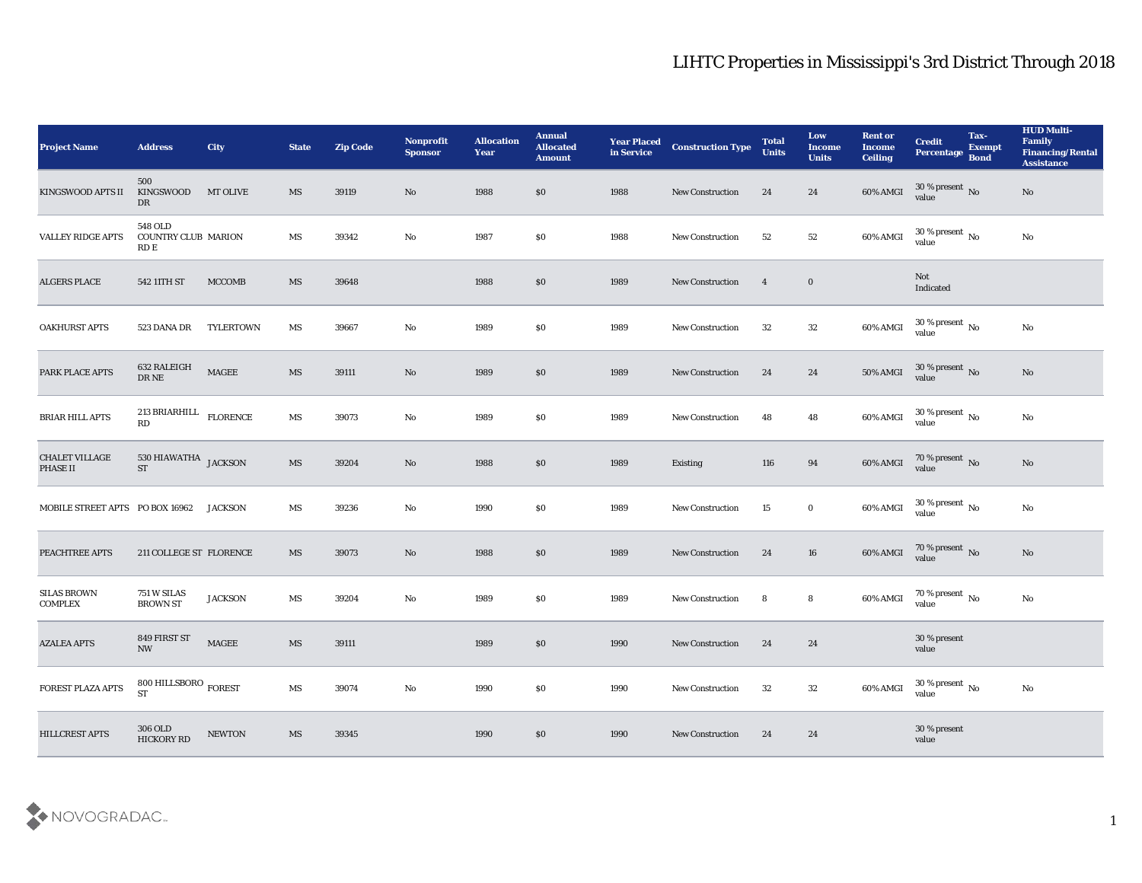| <b>Project Name</b>                  | <b>Address</b>                                | City             | <b>State</b>           | <b>Zip Code</b> | Nonprofit<br><b>Sponsor</b> | <b>Allocation</b><br><b>Year</b> | <b>Annual</b><br><b>Allocated</b><br><b>Amount</b> | <b>Year Placed</b><br>in Service | <b>Construction Type</b> | <b>Total</b><br><b>Units</b> | Low<br><b>Income</b><br><b>Units</b> | <b>Rent or</b><br>Income<br><b>Ceiling</b> | <b>Credit</b><br>Percentage Bond   | Tax-<br><b>Exempt</b> | <b>HUD Multi-</b><br>Family<br><b>Financing/Rental</b><br><b>Assistance</b> |
|--------------------------------------|-----------------------------------------------|------------------|------------------------|-----------------|-----------------------------|----------------------------------|----------------------------------------------------|----------------------------------|--------------------------|------------------------------|--------------------------------------|--------------------------------------------|------------------------------------|-----------------------|-----------------------------------------------------------------------------|
| <b>KINGSWOOD APTS II</b>             | 500<br>KINGSWOOD<br>DR                        | <b>MT OLIVE</b>  | <b>MS</b>              | 39119           | No                          | 1988                             | $\$0$                                              | 1988                             | New Construction         | 24                           | 24                                   | 60% AMGI                                   | $30\,\%$ present $\,$ No value     |                       | No                                                                          |
| <b>VALLEY RIDGE APTS</b>             | 548 OLD<br><b>COUNTRY CLUB MARION</b><br>RD E |                  | MS                     | 39342           | No                          | 1987                             | $\$0$                                              | 1988                             | <b>New Construction</b>  | 52                           | 52                                   | 60% AMGI                                   | $30\,\%$ present $\,$ No value     |                       | $\mathbf{N}\mathbf{o}$                                                      |
| <b>ALGERS PLACE</b>                  | 542 11TH ST                                   | <b>MCCOMB</b>    | MS                     | 39648           |                             | 1988                             | \$0\$                                              | 1989                             | <b>New Construction</b>  | $\overline{4}$               | $\bf{0}$                             |                                            | Not<br>Indicated                   |                       |                                                                             |
| <b>OAKHURST APTS</b>                 | 523 DANA DR                                   | <b>TYLERTOWN</b> | MS                     | 39667           | $\mathbf{N}\mathbf{o}$      | 1989                             | \$0\$                                              | 1989                             | <b>New Construction</b>  | 32                           | 32                                   | 60% AMGI                                   | $30\,\%$ present $\,$ No value     |                       | $\mathbf{N}\mathbf{o}$                                                      |
| PARK PLACE APTS                      | 632 RALEIGH<br>$\rm DR\,NE$                   | <b>MAGEE</b>     | MS                     | 39111           | No                          | 1989                             | \$0\$                                              | 1989                             | <b>New Construction</b>  | 24                           | 24                                   | 50% AMGI                                   | $30\,\%$ present $\,$ No value     |                       | No                                                                          |
| <b>BRIAR HILL APTS</b>               | 213 BRIARHILL $$\rm FLORENCE$$<br>RD          |                  | MS                     | 39073           | No                          | 1989                             | \$0\$                                              | 1989                             | <b>New Construction</b>  | 48                           | 48                                   | 60% AMGI                                   | $30\,\%$ present $\,$ No value     |                       | $\mathbf{N}\mathbf{o}$                                                      |
| CHALET VILLAGE<br><b>PHASE II</b>    | 530 HIAWATHA JACKSON<br><b>ST</b>             |                  | $\overline{\text{MS}}$ | 39204           | No                          | 1988                             | $\$0$                                              | 1989                             | Existing                 | 116                          | 94                                   | 60% AMGI                                   | $\frac{70\%}{value}$ No            |                       | No                                                                          |
| MOBILE STREET APTS PO BOX 16962      |                                               | <b>JACKSON</b>   | MS                     | 39236           | $\mathbf{N}\mathbf{o}$      | 1990                             | \$0                                                | 1989                             | <b>New Construction</b>  | 15                           | $\bf{0}$                             | 60% AMGI                                   | 30 % present $\,$ No $\,$<br>value |                       | $\mathbf{N}\mathbf{o}$                                                      |
| PEACHTREE APTS                       | 211 COLLEGE ST FLORENCE                       |                  | <b>MS</b>              | 39073           | No                          | 1988                             | \$0\$                                              | 1989                             | <b>New Construction</b>  | 24                           | 16                                   | 60% AMGI                                   | $70$ % present $_{\rm No}$ value   |                       | No                                                                          |
| <b>SILAS BROWN</b><br><b>COMPLEX</b> | 751 W SILAS<br><b>BROWN ST</b>                | <b>JACKSON</b>   | MS                     | 39204           | No                          | 1989                             | \$0\$                                              | 1989                             | <b>New Construction</b>  | 8                            | 8                                    | 60% AMGI                                   | $70\,\%$ present $\,$ No value     |                       | $\mathbf{N}\mathbf{o}$                                                      |
| <b>AZALEA APTS</b>                   | 849 FIRST ST<br><b>NW</b>                     | <b>MAGEE</b>     | <b>MS</b>              | 39111           |                             | 1989                             | $\$0$                                              | 1990                             | <b>New Construction</b>  | 24                           | 24                                   |                                            | 30 % present<br>value              |                       |                                                                             |
| FOREST PLAZA APTS                    | $800$ HILLSBORO $_{\rm FOREST}$<br><b>ST</b>  |                  | $\mathbf{M}\mathbf{S}$ | 39074           | $\mathbf {No}$              | 1990                             | $\$0$                                              | 1990                             | New Construction         | 32                           | $32\phantom{.0}$                     | 60% AMGI                                   | $30\,\%$ present $\,$ No value     |                       | $\rm\thinspace No$                                                          |
| HILLCREST APTS                       | $306\:\mathrm{OLD}$<br><b>HICKORY RD</b>      | <b>NEWTON</b>    | $\overline{\text{MS}}$ | 39345           |                             | 1990                             | $\$0$                                              | 1990                             | <b>New Construction</b>  | 24                           | 24                                   |                                            | 30 % present<br>value              |                       |                                                                             |

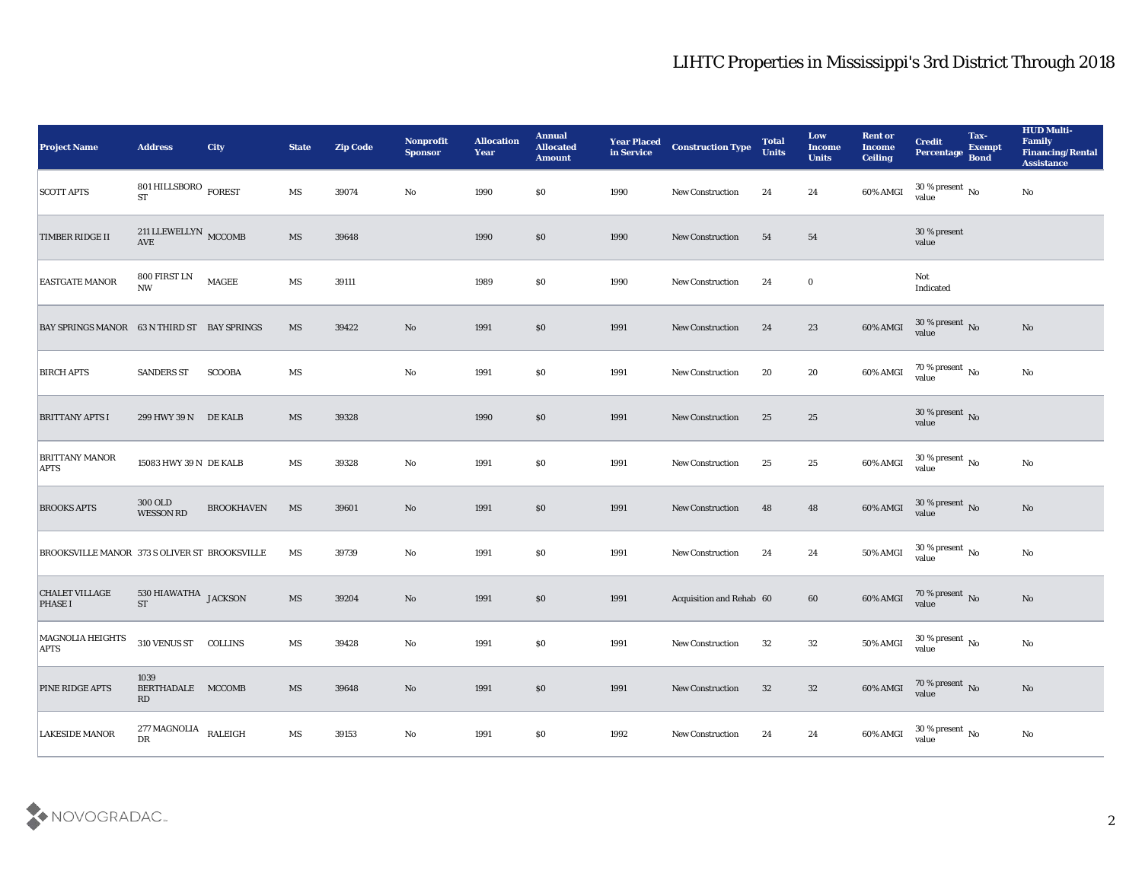| <b>Project Name</b>                           | <b>Address</b>                         | City              | <b>State</b>           | <b>Zip Code</b> | Nonprofit<br><b>Sponsor</b> | <b>Allocation</b><br><b>Year</b> | <b>Annual</b><br><b>Allocated</b><br><b>Amount</b> | <b>Year Placed</b><br>in Service | <b>Construction Type</b> | <b>Total</b><br><b>Units</b> | Low<br><b>Income</b><br><b>Units</b> | <b>Rent or</b><br>Income<br><b>Ceiling</b> | <b>Credit</b><br>Percentage Bond     | Tax-<br><b>Exempt</b> | <b>HUD Multi-</b><br>Family<br><b>Financing/Rental</b><br><b>Assistance</b> |
|-----------------------------------------------|----------------------------------------|-------------------|------------------------|-----------------|-----------------------------|----------------------------------|----------------------------------------------------|----------------------------------|--------------------------|------------------------------|--------------------------------------|--------------------------------------------|--------------------------------------|-----------------------|-----------------------------------------------------------------------------|
| <b>SCOTT APTS</b>                             | 801 HILLSBORO $_{\rm FOREST}$<br>ST    |                   | MS                     | 39074           | No                          | 1990                             | \$0                                                | 1990                             | <b>New Construction</b>  | 24                           | 24                                   | 60% AMGI                                   | $30\,\%$ present $\,$ No value       |                       | $\mathbf{N}\mathbf{o}$                                                      |
| TIMBER RIDGE II                               | 211 LLEWELLYN MCCOMB<br>AVE            |                   | MS                     | 39648           |                             | 1990                             | \$0                                                | 1990                             | <b>New Construction</b>  | 54                           | 54                                   |                                            | 30 % present<br>value                |                       |                                                                             |
| <b>EASTGATE MANOR</b>                         | 800 FIRST LN<br>$\mathbf{N}\mathbf{W}$ | <b>MAGEE</b>      | MS                     | 39111           |                             | 1989                             | \$0                                                | 1990                             | <b>New Construction</b>  | 24                           | $\bf{0}$                             |                                            | Not<br>Indicated                     |                       |                                                                             |
| BAY SPRINGS MANOR 63 N THIRD ST BAY SPRINGS   |                                        |                   | MS                     | 39422           | $\rm\thinspace No$          | 1991                             | \$0                                                | 1991                             | <b>New Construction</b>  | 24                           | 23                                   | 60% AMGI                                   | $30\,\%$ present $\,$ No value       |                       | $\mathbf{N}\mathbf{o}$                                                      |
| <b>BIRCH APTS</b>                             | <b>SANDERS ST</b>                      | <b>SCOOBA</b>     | MS                     |                 | $\rm\thinspace No$          | 1991                             | \$0                                                | 1991                             | <b>New Construction</b>  | 20                           | 20                                   | 60% AMGI                                   | 70 % present $\sqrt{\ }$ No<br>value |                       | No                                                                          |
| <b>BRITTANY APTS I</b>                        | 299 HWY 39 N DE KALB                   |                   | MS                     | 39328           |                             | 1990                             | \$0                                                | 1991                             | <b>New Construction</b>  | 25                           | 25                                   |                                            | $30\,\%$ present $\,$ No value       |                       |                                                                             |
| <b>BRITTANY MANOR</b><br><b>APTS</b>          | 15083 HWY 39 N DE KALB                 |                   | MS                     | 39328           | $\mathbf{N}\mathbf{o}$      | 1991                             | \$0                                                | 1991                             | <b>New Construction</b>  | 25                           | 25                                   | 60% AMGI                                   | $30$ % present $\,$ No value         |                       | $\mathbf{N}\mathbf{o}$                                                      |
| <b>BROOKS APTS</b>                            | 300 OLD<br><b>WESSON RD</b>            | <b>BROOKHAVEN</b> | MS                     | 39601           | $\rm No$                    | 1991                             | \$0                                                | 1991                             | <b>New Construction</b>  | 48                           | 48                                   | 60% AMGI                                   | $30\,\%$ present $\,$ No value       |                       | No                                                                          |
| BROOKSVILLE MANOR 373 S OLIVER ST BROOKSVILLE |                                        |                   | MS                     | 39739           | $\rm\thinspace No$          | 1991                             | \$0                                                | 1991                             | <b>New Construction</b>  | 24                           | 24                                   | 50% AMGI                                   | $30\,\%$ present $\,$ No value       |                       | $\mathbf{N}\mathbf{o}$                                                      |
| <b>CHALET VILLAGE</b><br><b>PHASE I</b>       | 530 HIAWATHA JACKSON<br><b>ST</b>      |                   | MS                     | 39204           | No                          | 1991                             | \$0                                                | 1991                             | Acquisition and Rehab 60 |                              | 60                                   | 60% AMGI                                   | $70\,\%$ present $\,$ No value       |                       | No                                                                          |
| <b>MAGNOLIA HEIGHTS</b><br><b>APTS</b>        | 310 VENUS ST COLLINS                   |                   | MS                     | 39428           | No                          | 1991                             | \$0                                                | 1991                             | <b>New Construction</b>  | 32                           | 32                                   | 50% AMGI                                   | 30 % present $\,$ No $\,$<br>value   |                       | No                                                                          |
| PINE RIDGE APTS                               | 1039<br>BERTHADALE MCCOMB<br>RD        |                   | $\mathbf{M}\mathbf{S}$ | 39648           | $\rm\thinspace No$          | 1991                             | $\$0$                                              | 1991                             | New Construction         | 32                           | 32                                   |                                            | 60% AMGI 70 % present No             |                       | $\mathbf {No}$                                                              |
| <b>LAKESIDE MANOR</b>                         | 277 MAGNOLIA<br>DR                     | RALEIGH           | $\mathbf{M}\mathbf{S}$ | $39153\,$       | ${\bf No}$                  | 1991                             | $\$0$                                              | 1992                             | New Construction         | 24                           | 24                                   | 60% AMGI                                   | $30\,\%$ present $\,$ No value       |                       | $\mathbf {No}$                                                              |

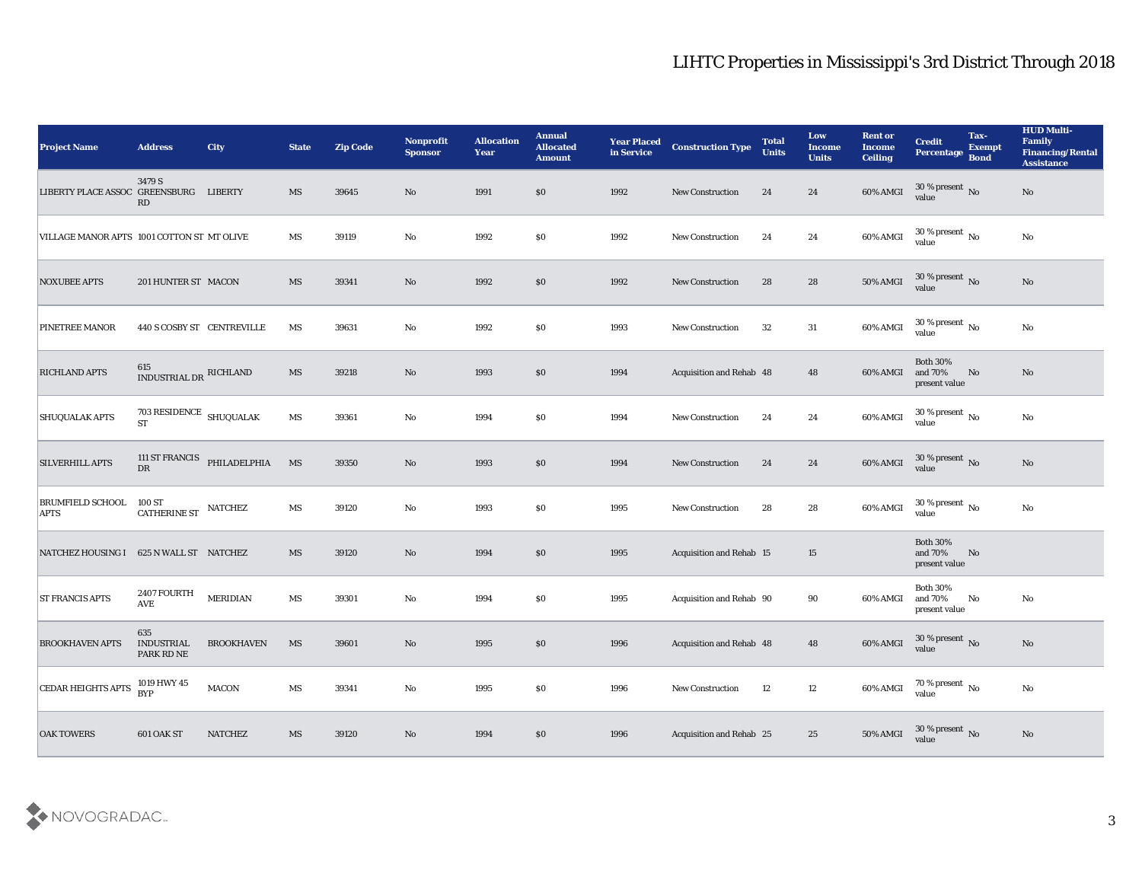| <b>Project Name</b>                        | <b>Address</b>                              | <b>City</b>                 | <b>State</b>           | <b>Zip Code</b> | Nonprofit<br><b>Sponsor</b> | <b>Allocation</b><br><b>Year</b> | <b>Annual</b><br><b>Allocated</b><br><b>Amount</b> | <b>Year Placed</b><br>in Service | <b>Construction Type</b>        | <b>Total</b><br><b>Units</b> | Low<br><b>Income</b><br><b>Units</b> | <b>Rent or</b><br><b>Income</b><br><b>Ceiling</b> | <b>Credit</b><br>Percentage Bond            | Tax-<br><b>Exempt</b> | <b>HUD Multi-</b><br>Family<br><b>Financing/Rental</b><br><b>Assistance</b> |
|--------------------------------------------|---------------------------------------------|-----------------------------|------------------------|-----------------|-----------------------------|----------------------------------|----------------------------------------------------|----------------------------------|---------------------------------|------------------------------|--------------------------------------|---------------------------------------------------|---------------------------------------------|-----------------------|-----------------------------------------------------------------------------|
| LIBERTY PLACE ASSOC GREENSBURG LIBERTY     | 3479 S<br>RD                                |                             | MS                     | 39645           | No                          | 1991                             | $\$0$                                              | 1992                             | <b>New Construction</b>         | 24                           | 24                                   | 60% AMGI                                          | $30\,\%$ present $\,$ No value              |                       | No                                                                          |
| VILLAGE MANOR APTS 1001 COTTON ST MT OLIVE |                                             |                             | MS                     | 39119           | $\mathbf{No}$               | 1992                             | $\$0$                                              | 1992                             | <b>New Construction</b>         | 24                           | 24                                   | 60% AMGI                                          | $30\,\%$ present $\,$ No value              |                       | $\rm\thinspace No$                                                          |
| <b>NOXUBEE APTS</b>                        | 201 HUNTER ST MACON                         |                             | MS                     | 39341           | No                          | 1992                             | $\boldsymbol{\mathsf{S}}\boldsymbol{\mathsf{0}}$   | 1992                             | <b>New Construction</b>         | 28                           | 28                                   | 50% AMGI                                          | 30 % present $\,$ No $\,$<br>value          |                       | No                                                                          |
| PINETREE MANOR                             | 440 S COSBY ST CENTREVILLE                  |                             | MS                     | 39631           | No                          | 1992                             | \$0                                                | 1993                             | <b>New Construction</b>         | 32                           | 31                                   | 60% AMGI                                          | $30\,\%$ present $\,$ No $\,$<br>value      |                       | $\mathbf{N}\mathbf{o}$                                                      |
| <b>RICHLAND APTS</b>                       | 615<br>INDUSTRIAL DR RICHLAND               |                             | MS                     | 39218           | $\mathbf{N}\mathbf{o}$      | 1993                             | \$0                                                | 1994                             | Acquisition and Rehab 48        |                              | 48                                   | 60% AMGI                                          | <b>Both 30%</b><br>and 70%<br>present value | No                    | No                                                                          |
| <b>SHUQUALAK APTS</b>                      | $703$ RESIDENCE $\,$ SHUQUALAK<br><b>ST</b> |                             | MS                     | 39361           | No                          | 1994                             | \$0                                                | 1994                             | <b>New Construction</b>         | 24                           | 24                                   | 60% AMGI                                          | $30\,\%$ present $\,$ No value              |                       | No                                                                          |
| <b>SILVERHILL APTS</b>                     | ${\rm DR}$                                  | 111 ST FRANCIS PHILADELPHIA | MS                     | 39350           | No                          | 1993                             | $\boldsymbol{\mathsf{S}}\boldsymbol{\mathsf{0}}$   | 1994                             | <b>New Construction</b>         | 24                           | 24                                   | $60\%$ AMGI                                       | $30\,\%$ present $\,$ No value              |                       | No                                                                          |
| BRUMFIELD SCHOOL 100 ST<br><b>APTS</b>     | <b>CATHERINE ST</b>                         | <b>NATCHEZ</b>              | MS                     | 39120           | No                          | 1993                             | \$0                                                | 1995                             | <b>New Construction</b>         | 28                           | 28                                   | 60% AMGI                                          | 30 % present $\sqrt{\ }$ No<br>value        |                       | $\mathbf{N}\mathbf{o}$                                                      |
| NATCHEZ HOUSING I 625 N WALL ST NATCHEZ    |                                             |                             | MS                     | 39120           | No                          | 1994                             | $\$0$                                              | 1995                             | <b>Acquisition and Rehab 15</b> |                              | 15                                   |                                                   | <b>Both 30%</b><br>and 70%<br>present value | No                    |                                                                             |
| <b>ST FRANCIS APTS</b>                     | 2407 FOURTH<br><b>AVE</b>                   | <b>MERIDIAN</b>             | MS                     | 39301           | No                          | 1994                             | \$0                                                | 1995                             | Acquisition and Rehab 90        |                              | 90                                   | 60% AMGI                                          | <b>Both 30%</b><br>and 70%<br>present value | No                    | No                                                                          |
| <b>BROOKHAVEN APTS</b>                     | 635<br><b>INDUSTRIAL</b><br>PARK RD NE      | <b>BROOKHAVEN</b>           | MS                     | 39601           | No                          | 1995                             | \$0                                                | 1996                             | Acquisition and Rehab 48        |                              | 48                                   | 60% AMGI                                          | 30 % present No<br>value                    |                       | No                                                                          |
| <b>CEDAR HEIGHTS APTS</b>                  | 1019 HWY 45<br><b>BYP</b>                   | $\rm MACON$                 | $\mathbf{M}\mathbf{S}$ | 39341           | $\rm\thinspace No$          | 1995                             | \$0                                                | 1996                             | New Construction                | 12                           | 12                                   | 60% AMGI                                          | $70\,\%$ present $\,$ No value              |                       | $\mathbf {No}$                                                              |
| <b>OAK TOWERS</b>                          | 601 OAK ST                                  | <b>NATCHEZ</b>              | $\mathbf{M}\mathbf{S}$ | 39120           | $\rm\thinspace No$          | 1994                             | $\$0$                                              | 1996                             | Acquisition and Rehab 25        |                              | 25                                   | <b>50% AMGI</b>                                   | $30\,\%$ present $\,$ No value              |                       | $\rm \bf No$                                                                |

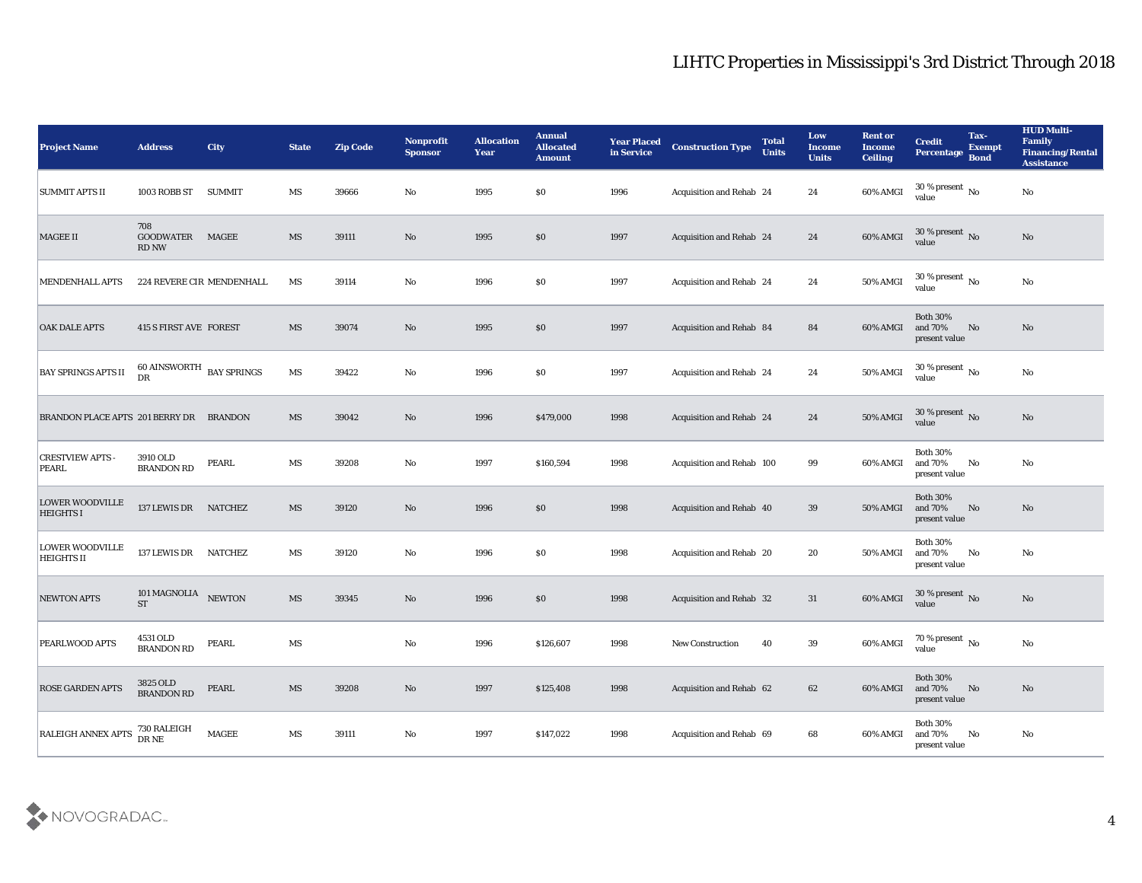| <b>Project Name</b>                         | <b>Address</b>                          | City          | <b>State</b>           | <b>Zip Code</b> | <b>Nonprofit</b><br><b>Sponsor</b> | <b>Allocation</b><br><b>Year</b> | <b>Annual</b><br><b>Allocated</b><br><b>Amount</b> | <b>Year Placed</b><br>in Service | <b>Construction Type</b>        | <b>Total</b><br><b>Units</b> | Low<br><b>Income</b><br><b>Units</b> | <b>Rent or</b><br>Income<br><b>Ceiling</b> | <b>Credit</b><br>Percentage Bond            | Tax-<br><b>Exempt</b> | <b>HUD Multi-</b><br>Family<br><b>Financing/Rental</b><br><b>Assistance</b> |
|---------------------------------------------|-----------------------------------------|---------------|------------------------|-----------------|------------------------------------|----------------------------------|----------------------------------------------------|----------------------------------|---------------------------------|------------------------------|--------------------------------------|--------------------------------------------|---------------------------------------------|-----------------------|-----------------------------------------------------------------------------|
| <b>SUMMIT APTS II</b>                       | 1003 ROBB ST                            | <b>SUMMIT</b> | MS                     | 39666           | No                                 | 1995                             | $\$0$                                              | 1996                             | Acquisition and Rehab 24        |                              | 24                                   | 60% AMGI                                   | 30 % present $\,$ No $\,$<br>value          |                       | No                                                                          |
| <b>MAGEE II</b>                             | 708<br><b>GOODWATER</b><br><b>RD NW</b> | MAGEE         | MS                     | 39111           | No                                 | 1995                             | \$0                                                | 1997                             | Acquisition and Rehab 24        |                              | 24                                   | 60% AMGI                                   | $30\,\%$ present $\,$ No value              |                       | No                                                                          |
| <b>MENDENHALL APTS</b>                      | 224 REVERE CIR MENDENHALL               |               | MS                     | 39114           | No                                 | 1996                             | \$0                                                | 1997                             | Acquisition and Rehab 24        |                              | 24                                   | 50% AMGI                                   | 30 % present $\,$ No $\,$<br>value          |                       | $\mathbf{N}\mathbf{o}$                                                      |
| <b>OAK DALE APTS</b>                        | <b>415 S FIRST AVE FOREST</b>           |               | MS                     | 39074           | No                                 | 1995                             | \$0                                                | 1997                             | <b>Acquisition and Rehab 84</b> |                              | 84                                   | 60% AMGI                                   | <b>Both 30%</b><br>and 70%<br>present value | No                    | No                                                                          |
| <b>BAY SPRINGS APTS II</b>                  | $60$ AINSWORTH $\,$ BAY SPRINGS<br>DR   |               | MS                     | 39422           | $\mathbf{No}$                      | 1996                             | \$0                                                | 1997                             | <b>Acquisition and Rehab 24</b> |                              | 24                                   | <b>50% AMGI</b>                            | 30 % present $\,$ No $\,$<br>value          |                       | No                                                                          |
| BRANDON PLACE APTS 201 BERRY DR BRANDON     |                                         |               | MS                     | 39042           | No                                 | 1996                             | \$479,000                                          | 1998                             | <b>Acquisition and Rehab 24</b> |                              | 24                                   | <b>50% AMGI</b>                            | $30\,\%$ present $\,$ No value              |                       | No                                                                          |
| <b>CRESTVIEW APTS -</b><br>PEARL            | 3910 OLD<br><b>BRANDON RD</b>           | <b>PEARL</b>  | MS                     | 39208           | No                                 | 1997                             | \$160,594                                          | 1998                             | Acquisition and Rehab 100       |                              | 99                                   | 60% AMGI                                   | <b>Both 30%</b><br>and 70%<br>present value | No                    | No                                                                          |
| <b>LOWER WOODVILLE</b><br><b>HEIGHTS I</b>  | 137 LEWIS DR NATCHEZ                    |               | MS                     | 39120           | No                                 | 1996                             | \$0                                                | 1998                             | Acquisition and Rehab 40        |                              | 39                                   | 50% AMGI                                   | <b>Both 30%</b><br>and 70%<br>present value | No                    | No                                                                          |
| <b>LOWER WOODVILLE</b><br><b>HEIGHTS II</b> | 137 LEWIS DR NATCHEZ                    |               | MS                     | 39120           | $\mathbf{No}$                      | 1996                             | \$0                                                | 1998                             | Acquisition and Rehab 20        |                              | 20                                   | 50% AMGI                                   | <b>Both 30%</b><br>and 70%<br>present value | No                    | No                                                                          |
| <b>NEWTON APTS</b>                          | 101 MAGNOLIA NEWTON<br><b>ST</b>        |               | MS                     | 39345           | No                                 | 1996                             | \$0                                                | 1998                             | <b>Acquisition and Rehab 32</b> |                              | 31                                   | $60\%$ AMGI                                | $30\,\%$ present $\,$ No value              |                       | No                                                                          |
| <b>PEARLWOOD APTS</b>                       | 4531 OLD<br><b>BRANDON RD</b>           | PEARL         | MS                     |                 | No                                 | 1996                             | \$126,607                                          | 1998                             | <b>New Construction</b>         | 40                           | 39                                   | 60% AMGI                                   | 70 % present No<br>value                    |                       | No                                                                          |
| <b>ROSE GARDEN APTS</b>                     | 3825 OLD<br><b>BRANDON RD</b>           | PEARL         | $\mathbf{M}\mathbf{S}$ | 39208           | $\rm\thinspace No$                 | 1997                             | \$125,408                                          | 1998                             | Acquisition and Rehab 62        |                              | 62                                   | 60% AMGI                                   | Both $30\%$<br>and $70\%$<br>present value  | No                    | $\mathbf{N}\mathbf{o}$                                                      |
| RALEIGH ANNEX APTS                          | 730 RALEIGH<br>DR NE                    | MAGEE         | MS                     | 39111           | $\mathbf {No}$                     | 1997                             | \$147,022                                          | 1998                             | Acquisition and Rehab 69        |                              | 68                                   | 60% AMGI                                   | <b>Both 30%</b><br>and 70%<br>present value | No                    | $\mathbf{N}\mathbf{o}$                                                      |

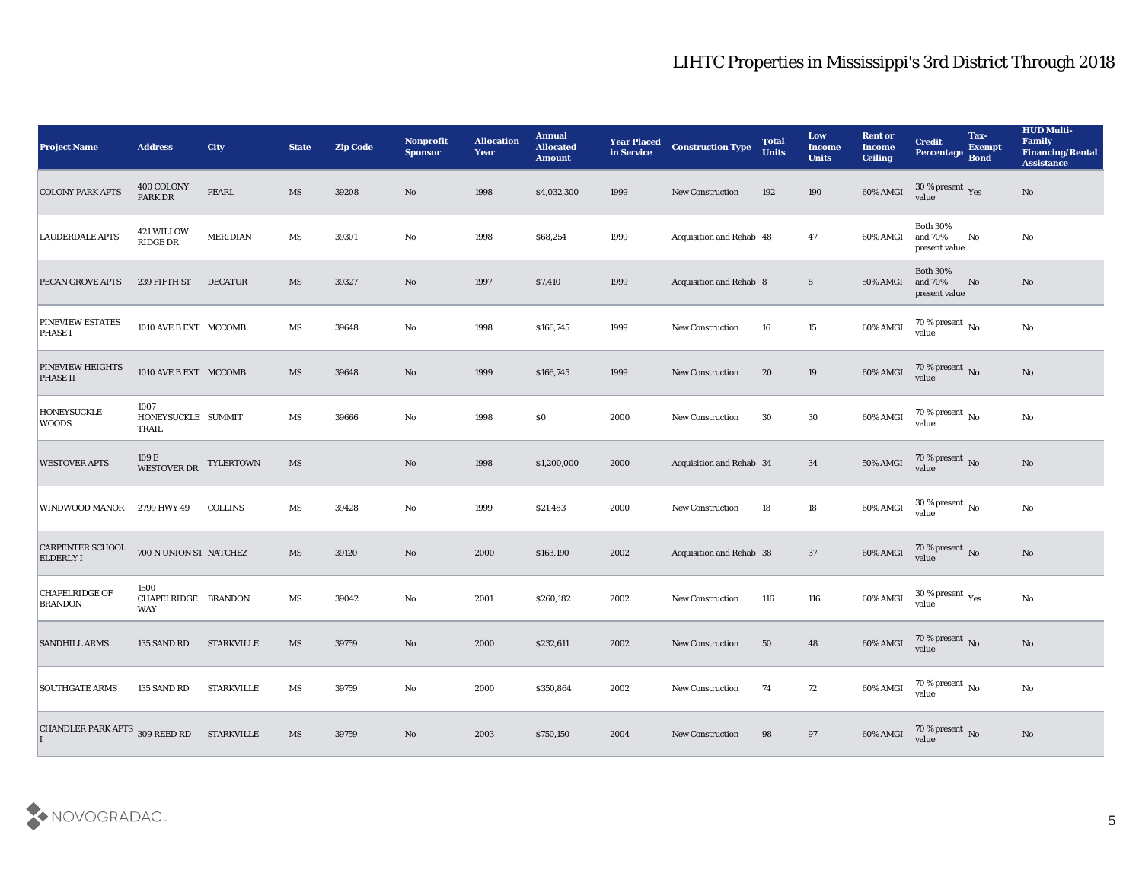| <b>Project Name</b>                         | <b>Address</b>                                           | <b>City</b>       | <b>State</b>           | <b>Zip Code</b> | <b>Nonprofit</b><br><b>Sponsor</b> | <b>Allocation</b><br>Year | <b>Annual</b><br><b>Allocated</b><br><b>Amount</b> | <b>Year Placed</b><br>in Service | <b>Construction Type</b>       | <b>Total</b><br><b>Units</b> | Low<br><b>Income</b><br><b>Units</b> | <b>Rent or</b><br><b>Income</b><br><b>Ceiling</b> | <b>Credit</b><br><b>Percentage</b>          | Tax-<br><b>Exempt</b><br><b>Bond</b> | <b>HUD Multi-</b><br>Family<br><b>Financing/Rental</b><br><b>Assistance</b> |
|---------------------------------------------|----------------------------------------------------------|-------------------|------------------------|-----------------|------------------------------------|---------------------------|----------------------------------------------------|----------------------------------|--------------------------------|------------------------------|--------------------------------------|---------------------------------------------------|---------------------------------------------|--------------------------------------|-----------------------------------------------------------------------------|
| <b>COLONY PARK APTS</b>                     | 400 COLONY<br>PARK DR                                    | PEARL             | MS                     | 39208           | No                                 | 1998                      | \$4,032,300                                        | 1999                             | <b>New Construction</b>        | 192                          | 190                                  | 60% AMGI                                          | $30\,\%$ present $\,$ Yes value             |                                      | $\mathbf{N}\mathbf{o}$                                                      |
| <b>LAUDERDALE APTS</b>                      | 421 WILLOW<br><b>RIDGE DR</b>                            | <b>MERIDIAN</b>   | MS                     | 39301           | No                                 | 1998                      | \$68,254                                           | 1999                             | Acquisition and Rehab 48       |                              | 47                                   | 60% AMGI                                          | <b>Both 30%</b><br>and 70%<br>present value | No                                   | No                                                                          |
| <b>PECAN GROVE APTS</b>                     | 239 FIFTH ST                                             | <b>DECATUR</b>    | MS                     | 39327           | No                                 | 1997                      | \$7,410                                            | 1999                             | <b>Acquisition and Rehab 8</b> |                              | $8\phantom{1}$                       | 50% AMGI                                          | <b>Both 30%</b><br>and 70%<br>present value | No                                   | No                                                                          |
| <b>PINEVIEW ESTATES</b><br><b>PHASE I</b>   | 1010 AVE B EXT MCCOMB                                    |                   | MS                     | 39648           | No                                 | 1998                      | \$166,745                                          | 1999                             | New Construction               | 16                           | 15                                   | 60% AMGI                                          | $70\,\%$ present $\,$ No value              |                                      | No                                                                          |
| <b>PINEVIEW HEIGHTS</b><br><b>PHASE II</b>  | 1010 AVE B EXT MCCOMB                                    |                   | MS                     | 39648           | No                                 | 1999                      | \$166,745                                          | 1999                             | <b>New Construction</b>        | 20                           | 19                                   | $60\%$ AMGI                                       | $70\,\%$ present $\,$ No value              |                                      | $\mathbf{N}\mathbf{o}$                                                      |
| <b>HONEYSUCKLE</b><br><b>WOODS</b>          | 1007<br>HONEYSUCKLE SUMMIT<br><b>TRAIL</b>               |                   | MS                     | 39666           | No                                 | 1998                      | \$0                                                | 2000                             | <b>New Construction</b>        | 30                           | 30                                   | 60% AMGI                                          | $70\,\%$ present $\,$ No value              |                                      | $\rm\thinspace No$                                                          |
| <b>WESTOVER APTS</b>                        | $109\,\mathrm{E}$ $$\tt WESTOVER\,DR$$ $$\tt TYLERTOWN$$ |                   | $\overline{\text{MS}}$ |                 | No                                 | 1998                      | \$1,200,000                                        | 2000                             | Acquisition and Rehab 34       |                              | 34                                   | 50% AMGI                                          | 70 % present No<br>value                    |                                      | No                                                                          |
| <b>WINDWOOD MANOR</b>                       | 2799 HWY 49                                              | <b>COLLINS</b>    | MS                     | 39428           | No                                 | 1999                      | \$21,483                                           | 2000                             | <b>New Construction</b>        | 18                           | 18                                   | 60% AMGI                                          | 30 % present $\,$ No $\,$<br>value          |                                      | $\mathbf{N}\mathbf{o}$                                                      |
| <b>CARPENTER SCHOOL</b><br><b>ELDERLY I</b> | 700 N UNION ST NATCHEZ                                   |                   | MS                     | 39120           | No                                 | 2000                      | \$163,190                                          | 2002                             | Acquisition and Rehab 38       |                              | 37                                   | $60\%$ AMGI                                       | $70\,\%$ present $\,$ No value              |                                      | $\mathbf{N}\mathbf{o}$                                                      |
| <b>CHAPELRIDGE OF</b><br><b>BRANDON</b>     | 1500<br>CHAPELRIDGE BRANDON<br>WAY                       |                   | MS                     | 39042           | No                                 | 2001                      | \$260,182                                          | 2002                             | <b>New Construction</b>        | 116                          | 116                                  | 60% AMGI                                          | $30\,\%$ present $\,$ Yes value             |                                      | $\mathbf{N}\mathbf{o}$                                                      |
| <b>SANDHILL ARMS</b>                        | 135 SAND RD                                              | <b>STARKVILLE</b> | <b>MS</b>              | 39759           | No                                 | 2000                      | \$232,611                                          | 2002                             | <b>New Construction</b>        | 50                           | 48                                   | 60% AMGI                                          | 70 % present No<br>value                    |                                      | $\mathbf{N}\mathbf{o}$                                                      |
| <b>SOUTHGATE ARMS</b>                       | 135 SAND RD                                              | <b>STARKVILLE</b> | $\mathbf{M}\mathbf{S}$ | 39759           | $\mathbf {No}$                     | 2000                      | \$350,864                                          | 2002                             | <b>New Construction</b>        | 74                           | 72                                   | 60% AMGI                                          | $70\,\%$ present $\,$ No value              |                                      | $\mathbf {No}$                                                              |
| CHANDLER PARK APTS 309 REED RD              |                                                          | <b>STARKVILLE</b> | $\mathbf{M}\mathbf{S}$ | 39759           | $\mathbf {No}$                     | 2003                      | \$750,150                                          | 2004                             | <b>New Construction</b>        | 98                           | 97                                   | 60% AMGI                                          | $70\,\%$ present $\,$ No value              |                                      | $\mathbf{N}\mathbf{o}$                                                      |

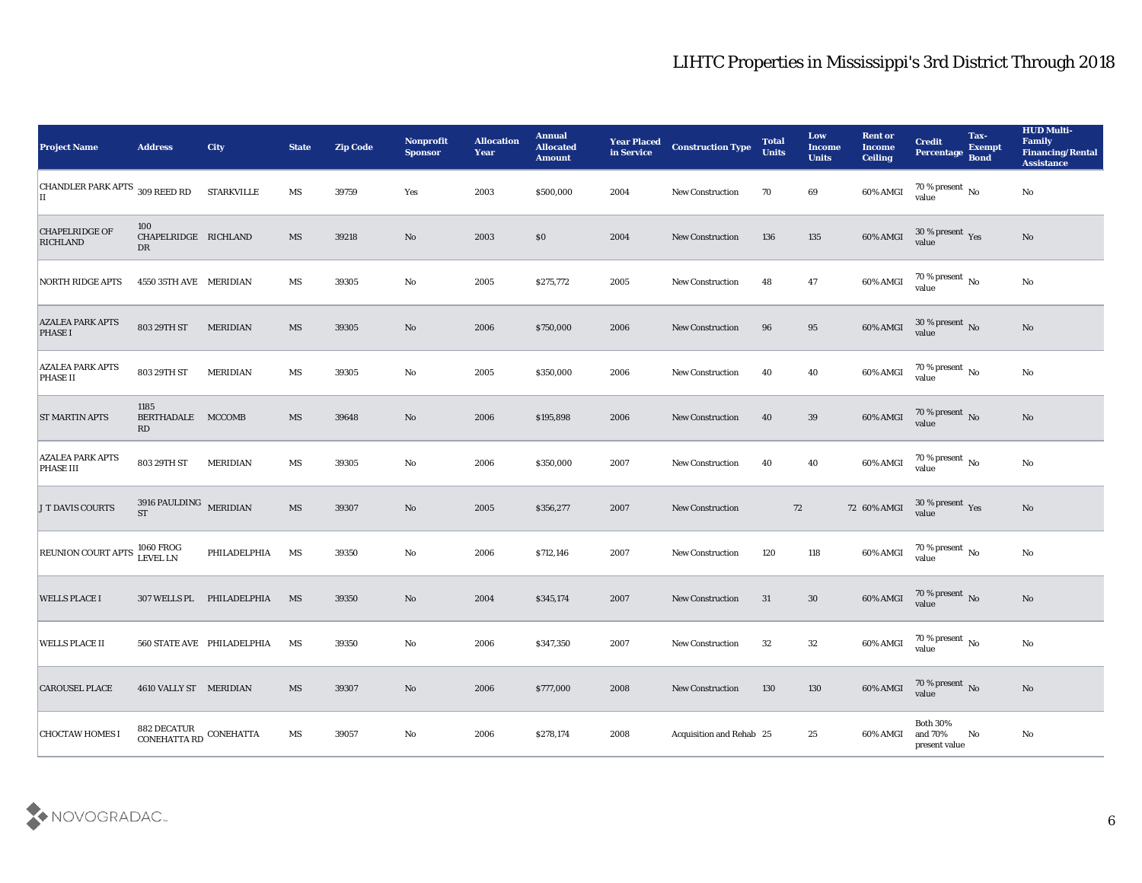| <b>Project Name</b>                         | <b>Address</b>                        | <b>City</b>                | <b>State</b>           | <b>Zip Code</b> | Nonprofit<br><b>Sponsor</b> | <b>Allocation</b><br><b>Year</b> | <b>Annual</b><br><b>Allocated</b><br><b>Amount</b> | <b>Year Placed</b><br>in Service | <b>Construction Type</b> | <b>Total</b><br><b>Units</b> | Low<br><b>Income</b><br><b>Units</b> | <b>Rent or</b><br><b>Income</b><br><b>Ceiling</b> | <b>Credit</b><br>Percentage Bond              | Tax-<br><b>Exempt</b> | <b>HUD Multi-</b><br>Family<br><b>Financing/Rental</b><br><b>Assistance</b> |
|---------------------------------------------|---------------------------------------|----------------------------|------------------------|-----------------|-----------------------------|----------------------------------|----------------------------------------------------|----------------------------------|--------------------------|------------------------------|--------------------------------------|---------------------------------------------------|-----------------------------------------------|-----------------------|-----------------------------------------------------------------------------|
| CHANDLER PARK APTS 309 REED RD<br>IІ        |                                       | <b>STARKVILLE</b>          | MS                     | 39759           | Yes                         | 2003                             | \$500,000                                          | 2004                             | <b>New Construction</b>  | 70                           | 69                                   | 60% AMGI                                          | 70 % present $\,$ No $\,$<br>value            |                       | $\mathbf{N}\mathbf{o}$                                                      |
| <b>CHAPELRIDGE OF</b><br><b>RICHLAND</b>    | 100<br>CHAPELRIDGE RICHLAND<br>DR     |                            | MS                     | 39218           | No                          | 2003                             | \$0                                                | 2004                             | <b>New Construction</b>  | 136                          | 135                                  | 60% AMGI                                          | $30\,\%$ present $\,$ Yes value               |                       | No                                                                          |
| NORTH RIDGE APTS                            | 4550 35TH AVE MERIDIAN                |                            | MS                     | 39305           | No                          | 2005                             | \$275,772                                          | 2005                             | <b>New Construction</b>  | 48                           | 47                                   | 60% AMGI                                          | $70\,\%$ present $\,$ No value                |                       | No                                                                          |
| <b>AZALEA PARK APTS</b><br><b>PHASE I</b>   | 803 29TH ST                           | <b>MERIDIAN</b>            | MS                     | 39305           | $\mathbf{N}\mathbf{o}$      | 2006                             | \$750,000                                          | 2006                             | <b>New Construction</b>  | 96                           | 95                                   | 60% AMGI                                          | $30\,\%$ present $\,$ No value                |                       | No                                                                          |
| <b>AZALEA PARK APTS</b><br><b>PHASE II</b>  | 803 29TH ST                           | <b>MERIDIAN</b>            | MS                     | 39305           | No                          | 2005                             | \$350,000                                          | 2006                             | <b>New Construction</b>  | 40                           | 40                                   | 60% AMGI                                          | 70 % present $\,$ No $\,$<br>value            |                       | No                                                                          |
| <b>ST MARTIN APTS</b>                       | 1185<br>BERTHADALE MCCOMB<br>RD       |                            | MS                     | 39648           | No                          | 2006                             | \$195,898                                          | 2006                             | <b>New Construction</b>  | 40                           | 39                                   | 60% AMGI                                          | $70\,\%$ present $\,$ No value                |                       | No                                                                          |
| <b>AZALEA PARK APTS</b><br><b>PHASE III</b> | 803 29TH ST                           | <b>MERIDIAN</b>            | MS                     | 39305           | No                          | 2006                             | \$350,000                                          | 2007                             | <b>New Construction</b>  | 40                           | 40                                   | 60% AMGI                                          | $70\,\%$ present $\,$ No value                |                       | No                                                                          |
| <b>J T DAVIS COURTS</b>                     | 3916 PAULDING MERIDIAN<br><b>ST</b>   |                            | MS                     | 39307           | No                          | 2005                             | \$356,277                                          | 2007                             | <b>New Construction</b>  | 72                           |                                      | 72 60% AMGI                                       | 30 % present $\,\rm \gamma_{\rm es}$<br>value |                       | No                                                                          |
| <b>REUNION COURT APTS</b>                   | <b>1060 FROG</b><br>LEVEL LN          | PHILADELPHIA               | MS                     | 39350           | No                          | 2006                             | \$712,146                                          | 2007                             | <b>New Construction</b>  | 120                          | 118                                  | 60% AMGI                                          | 70 % present $\,$ No $\,$<br>value            |                       | No                                                                          |
| <b>WELLS PLACE I</b>                        |                                       | 307 WELLS PL PHILADELPHIA  | MS                     | 39350           | No                          | 2004                             | \$345,174                                          | 2007                             | <b>New Construction</b>  | 31                           | 30                                   | 60% AMGI                                          | $70\,\%$ present $\,$ No value                |                       | $\mathbf{N}\mathbf{o}$                                                      |
| <b>WELLS PLACE II</b>                       |                                       | 560 STATE AVE PHILADELPHIA | MS                     | 39350           | No                          | 2006                             | \$347,350                                          | 2007                             | <b>New Construction</b>  | 32                           | 32                                   | 60% AMGI                                          | 70 % present $\sqrt{\ }$<br>value             |                       | No                                                                          |
| <b>CAROUSEL PLACE</b>                       | 4610 VALLY ST MERIDIAN                |                            | MS                     | 39307           | $\rm\thinspace No$          | 2006                             | \$777,000                                          | 2008                             | <b>New Construction</b>  | 130                          | 130                                  | 60% AMGI                                          | $70\,\%$ present $\,$ No value                |                       | No                                                                          |
| <b>CHOCTAW HOMES I</b>                      | 882 DECATUR<br>CONEHATTA RD CONEHATTA |                            | $\mathbf{M}\mathbf{S}$ | 39057           | $\mathbf {No}$              | 2006                             | \$278,174                                          | 2008                             | Acquisition and Rehab 25 |                              | 25                                   | 60% AMGI                                          | Both $30\%$<br>and $70\%$<br>present value    | No                    | $\rm\, No$                                                                  |

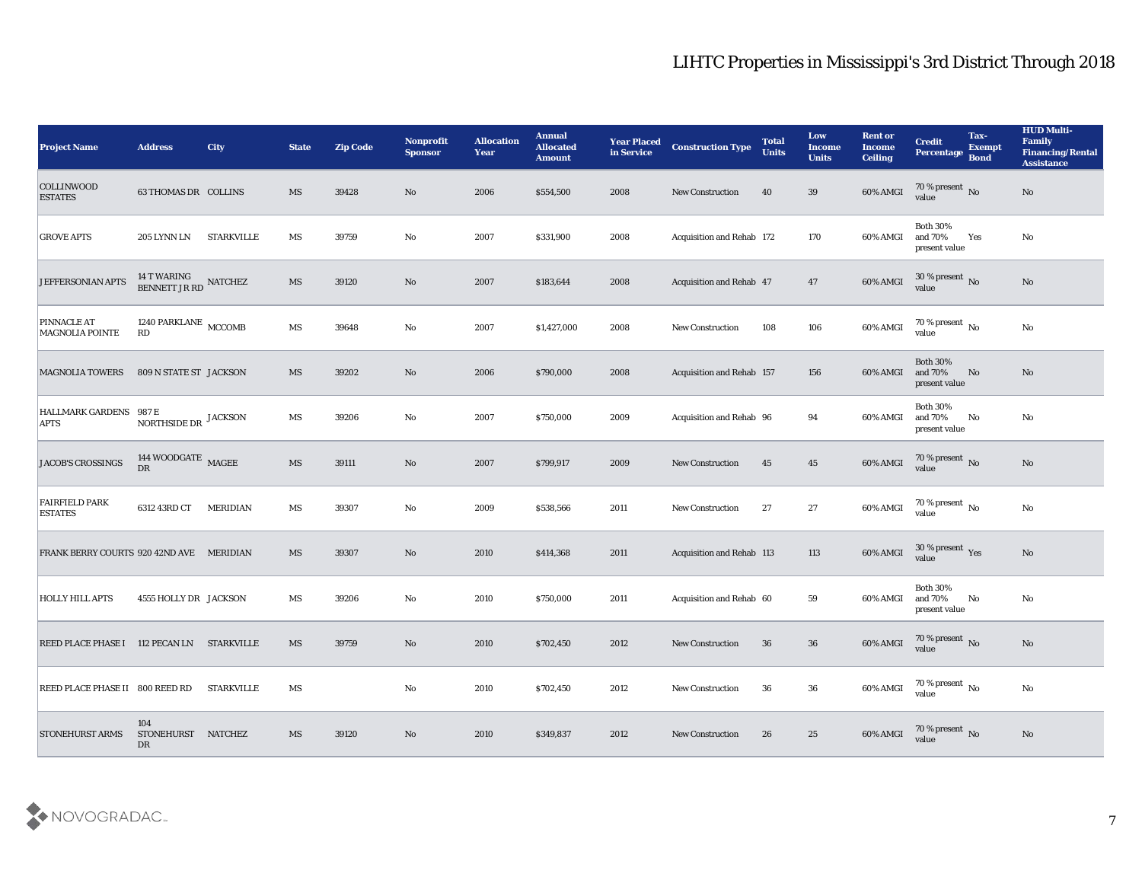| <b>Project Name</b>                          | <b>Address</b>                              | <b>City</b>     | <b>State</b> | <b>Zip Code</b> | <b>Nonprofit</b><br><b>Sponsor</b> | <b>Allocation</b><br><b>Year</b> | <b>Annual</b><br><b>Allocated</b><br><b>Amount</b> | <b>Year Placed</b><br>in Service | <b>Construction Type</b>  | <b>Total</b><br><b>Units</b> | Low<br><b>Income</b><br><b>Units</b> | <b>Rent or</b><br><b>Income</b><br><b>Ceiling</b> | <b>Credit</b><br>Percentage                 | Tax-<br><b>Exempt</b><br><b>Bond</b> | <b>HUD Multi-</b><br>Family<br><b>Financing/Rental</b><br><b>Assistance</b> |
|----------------------------------------------|---------------------------------------------|-----------------|--------------|-----------------|------------------------------------|----------------------------------|----------------------------------------------------|----------------------------------|---------------------------|------------------------------|--------------------------------------|---------------------------------------------------|---------------------------------------------|--------------------------------------|-----------------------------------------------------------------------------|
| <b>COLLINWOOD</b><br><b>ESTATES</b>          | <b>63 THOMAS DR COLLINS</b>                 |                 | MS           | 39428           | No                                 | 2006                             | \$554,500                                          | 2008                             | <b>New Construction</b>   | 40                           | 39                                   | 60% AMGI                                          | $\frac{70\%}{\text{value}}$ No              |                                      | No                                                                          |
| <b>GROVE APTS</b>                            | 205 LYNN LN                                 | STARKVILLE      | MS           | 39759           | No                                 | 2007                             | \$331,900                                          | 2008                             | Acquisition and Rehab 172 |                              | 170                                  | 60% AMGI                                          | <b>Both 30%</b><br>and 70%<br>present value | Yes                                  | No                                                                          |
| <b>JEFFERSONIAN APTS</b>                     | $14$ T WARING $$\tt NATCHEZ$$ BENNETT JR RD |                 | MS           | 39120           | No                                 | 2007                             | \$183,644                                          | 2008                             | Acquisition and Rehab 47  |                              | 47                                   | 60% AMGI                                          | 30 % present No<br>value                    |                                      | No                                                                          |
| <b>PINNACLE AT</b><br><b>MAGNOLIA POINTE</b> | 1240 PARKLANE MCCOMB<br>RD                  |                 | MS           | 39648           | No                                 | 2007                             | \$1,427,000                                        | 2008                             | <b>New Construction</b>   | 108                          | 106                                  | 60% AMGI                                          | $70\,\%$ present $\,$ No value              |                                      | $\mathbf{N}\mathbf{o}$                                                      |
| <b>MAGNOLIA TOWERS</b>                       | 809 N STATE ST JACKSON                      |                 | MS           | 39202           | No                                 | 2006                             | \$790,000                                          | 2008                             | Acquisition and Rehab 157 |                              | 156                                  | 60% AMGI                                          | <b>Both 30%</b><br>and 70%<br>present value | No                                   | No                                                                          |
| HALLMARK GARDENS 987 E<br><b>APTS</b>        | NORTHSIDE DR JACKSON                        |                 | MS           | 39206           | No                                 | 2007                             | \$750,000                                          | 2009                             | Acquisition and Rehab 96  |                              | 94                                   | 60% AMGI                                          | <b>Both 30%</b><br>and 70%<br>present value | No                                   | No                                                                          |
| <b>JACOB'S CROSSINGS</b>                     | 144 WOODGATE MAGEE<br>DR                    |                 | MS           | 39111           | No                                 | 2007                             | \$799,917                                          | 2009                             | <b>New Construction</b>   | 45                           | 45                                   | 60% AMGI                                          | $\frac{70\%}{value}$ No                     |                                      | No                                                                          |
| <b>FAIRFIELD PARK</b><br><b>ESTATES</b>      | 6312 43RD CT                                | <b>MERIDIAN</b> | MS           | 39307           | No                                 | 2009                             | \$538,566                                          | 2011                             | <b>New Construction</b>   | 27                           | 27                                   | 60% AMGI                                          | 70 % present $\,$ No $\,$<br>value          |                                      | No                                                                          |
| FRANK BERRY COURTS 920 42ND AVE MERIDIAN     |                                             |                 | MS           | 39307           | No                                 | 2010                             | \$414,368                                          | 2011                             | Acquisition and Rehab 113 |                              | 113                                  | 60% AMGI                                          | $30\,\%$ present $\,$ Yes value             |                                      | No                                                                          |
| <b>HOLLY HILL APTS</b>                       | 4555 HOLLY DR JACKSON                       |                 | MS           | 39206           | No                                 | 2010                             | \$750,000                                          | 2011                             | Acquisition and Rehab 60  |                              | 59                                   | 60% AMGI                                          | <b>Both 30%</b><br>and 70%<br>present value | No                                   | No                                                                          |
| REED PLACE PHASE I 112 PECAN LN STARKVILLE   |                                             |                 | MS           | 39759           | No                                 | 2010                             | \$702,450                                          | 2012                             | <b>New Construction</b>   | 36                           | 36                                   | 60% AMGI                                          | 70 % present No<br>value                    |                                      | No                                                                          |
| REED PLACE PHASE II 800 REED RD STARKVILLE   |                                             |                 | MS           |                 | $\mathbf{No}$                      | 2010                             | \$702,450                                          | 2012                             | <b>New Construction</b>   | 36                           | 36                                   | 60% AMGI                                          | $70\,\%$ present $\,$ No value              |                                      | $\mathbf{N}\mathbf{o}$                                                      |
| <b>STONEHURST ARMS</b>                       | 104<br>STONEHURST NATCHEZ<br>DR             |                 | MS           | 39120           | $\rm\thinspace No$                 | 2010                             | \$349,837                                          | 2012                             | <b>New Construction</b>   | 26                           | 25                                   | 60% AMGI                                          | $70\,\%$ present $\,$ No value              |                                      | $\rm \bf No$                                                                |

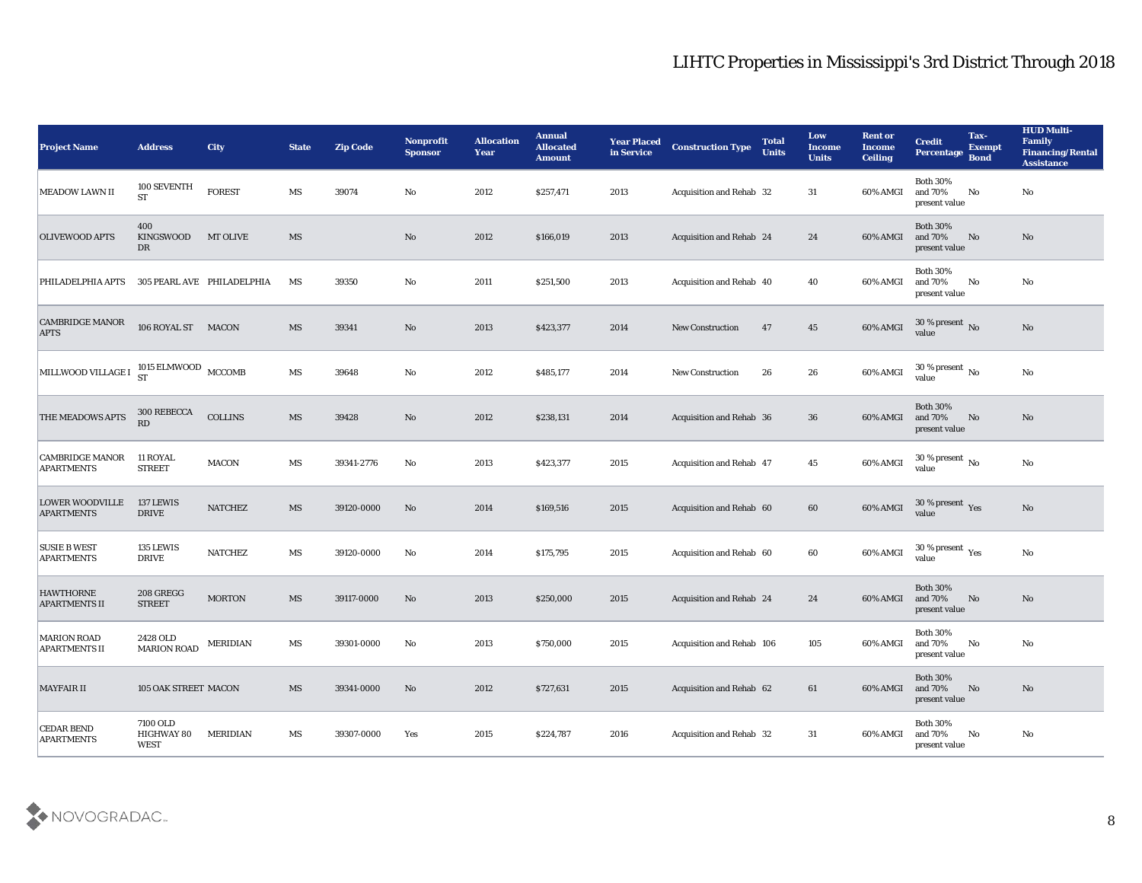| <b>Project Name</b>                         | <b>Address</b>                        | <b>City</b>                | <b>State</b>           | <b>Zip Code</b> | Nonprofit<br><b>Sponsor</b> | <b>Allocation</b><br><b>Year</b> | <b>Annual</b><br><b>Allocated</b><br><b>Amount</b> | <b>Year Placed</b><br>in Service | <b>Construction Type</b>  | <b>Total</b><br><b>Units</b> | Low<br><b>Income</b><br><b>Units</b> | <b>Rent or</b><br><b>Income</b><br><b>Ceiling</b> | <b>Credit</b><br>Percentage                          | Tax-<br><b>Exempt</b><br><b>Bond</b> | <b>HUD Multi-</b><br>Family<br><b>Financing/Rental</b><br><b>Assistance</b> |
|---------------------------------------------|---------------------------------------|----------------------------|------------------------|-----------------|-----------------------------|----------------------------------|----------------------------------------------------|----------------------------------|---------------------------|------------------------------|--------------------------------------|---------------------------------------------------|------------------------------------------------------|--------------------------------------|-----------------------------------------------------------------------------|
| <b>MEADOW LAWN II</b>                       | 100 SEVENTH<br><b>ST</b>              | <b>FOREST</b>              | MS                     | 39074           | No                          | 2012                             | \$257,471                                          | 2013                             | Acquisition and Rehab 32  |                              | 31                                   | 60% AMGI                                          | <b>Both 30%</b><br>and 70%<br>present value          | No                                   | No                                                                          |
| <b>OLIVEWOOD APTS</b>                       | 400<br><b>KINGSWOOD</b><br>DR         | <b>MT OLIVE</b>            | MS                     |                 | $\mathbf{N}\mathbf{o}$      | 2012                             | \$166,019                                          | 2013                             | Acquisition and Rehab 24  |                              | 24                                   | 60% AMGI                                          | <b>Both 30%</b><br>and 70%<br>present value          | No                                   | No                                                                          |
| PHILADELPHIA APTS                           |                                       | 305 PEARL AVE PHILADELPHIA | MS                     | 39350           | No                          | 2011                             | \$251,500                                          | 2013                             | Acquisition and Rehab 40  |                              | 40                                   | 60% AMGI                                          | <b>Both 30%</b><br>and 70%<br>present value          | No                                   | No                                                                          |
| <b>CAMBRIDGE MANOR</b><br><b>APTS</b>       | 106 ROYAL ST MACON                    |                            | MS                     | 39341           | No                          | 2013                             | \$423,377                                          | 2014                             | <b>New Construction</b>   | 47                           | 45                                   | 60% AMGI                                          | $30\,\%$ present $\,$ No value                       |                                      | $\mathbf{N}\mathbf{o}$                                                      |
| MILLWOOD VILLAGE I                          | 1015 ELMWOOD $\,$ MCCOMB $\,$         |                            | MS                     | 39648           | No                          | 2012                             | \$485,177                                          | 2014                             | <b>New Construction</b>   | 26                           | 26                                   | 60% AMGI                                          | 30 % present $\,$ No $\,$<br>value                   |                                      | $\mathbf{N}\mathbf{o}$                                                      |
| <b>THE MEADOWS APTS</b>                     | 300 REBECCA<br>RD                     | <b>COLLINS</b>             | MS                     | 39428           | No                          | 2012                             | \$238,131                                          | 2014                             | Acquisition and Rehab 36  |                              | 36                                   | 60% AMGI                                          | <b>Both 30%</b><br>and 70%<br>present value          | No                                   | No                                                                          |
| <b>CAMBRIDGE MANOR</b><br><b>APARTMENTS</b> | 11 ROYAL<br><b>STREET</b>             | MACON                      | MS                     | 39341-2776      | No                          | 2013                             | \$423,377                                          | 2015                             | Acquisition and Rehab 47  |                              | 45                                   | 60% AMGI                                          | $30\,\%$ present $_{\rm{No}}$                        |                                      | No                                                                          |
| <b>LOWER WOODVILLE</b><br><b>APARTMENTS</b> | 137 LEWIS<br><b>DRIVE</b>             | <b>NATCHEZ</b>             | MS                     | 39120-0000      | No                          | 2014                             | \$169,516                                          | 2015                             | Acquisition and Rehab 60  |                              | 60                                   | 60% AMGI                                          | 30 % present Yes<br>value                            |                                      | No                                                                          |
| <b>SUSIE B WEST</b><br><b>APARTMENTS</b>    | 135 LEWIS<br><b>DRIVE</b>             | <b>NATCHEZ</b>             | $\mathbf{M}\mathbf{S}$ | 39120-0000      | No                          | 2014                             | \$175,795                                          | 2015                             | Acquisition and Rehab 60  |                              | 60                                   | 60% AMGI                                          | 30 % present $\rm\thinspace\gamma_{\rm es}$<br>value |                                      | No                                                                          |
| <b>HAWTHORNE</b><br><b>APARTMENTS II</b>    | 208 GREGG<br><b>STREET</b>            | <b>MORTON</b>              | MS                     | 39117-0000      | No                          | 2013                             | \$250,000                                          | 2015                             | Acquisition and Rehab 24  |                              | 24                                   | 60% AMGI                                          | <b>Both 30%</b><br>and 70%<br>present value          | No                                   | No                                                                          |
| <b>MARION ROAD</b><br><b>APARTMENTS II</b>  | 2428 OLD<br><b>MARION ROAD</b>        | <b>MERIDIAN</b>            | MS                     | 39301-0000      | No                          | 2013                             | \$750,000                                          | 2015                             | Acquisition and Rehab 106 |                              | 105                                  | 60% AMGI                                          | <b>Both 30%</b><br>and 70%<br>present value          | No                                   | No                                                                          |
| <b>MAYFAIR II</b>                           | 105 OAK STREET MACON                  |                            | $\overline{\text{MS}}$ | 39341-0000      | $\rm\, No$                  | 2012                             | \$727,631                                          | 2015                             | Acquisition and Rehab 62  |                              | 61                                   | 60% AMGI                                          | Both $30\%$<br>and $70\%$<br>present value           | No                                   | N <sub>o</sub>                                                              |
| <b>CEDAR BEND</b><br><b>APARTMENTS</b>      | 7100 OLD<br><b>HIGHWAY 80</b><br>WEST | <b>MERIDIAN</b>            | MS                     | 39307-0000      | Yes                         | 2015                             | \$224,787                                          | 2016                             | Acquisition and Rehab 32  |                              | 31                                   | 60% AMGI                                          | <b>Both 30%</b><br>and $70\%$<br>present value       | No                                   | No                                                                          |